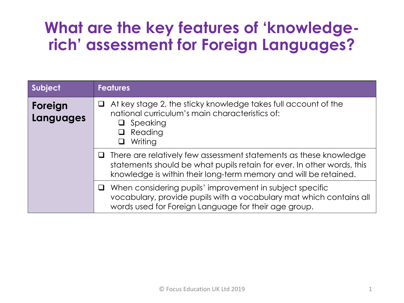## **What are the key features of 'knowledgerich' assessment for Foreign Languages?**

| Subject              | <b>Features</b>                                                                                                                                                                                                        |
|----------------------|------------------------------------------------------------------------------------------------------------------------------------------------------------------------------------------------------------------------|
| Foreign<br>Languages | $\Box$ At key stage 2, the sticky knowledge takes full account of the<br>national curriculum's main characteristics of:<br>Speaking<br>$\Box$<br>Reading<br>Writing<br>⊔                                               |
|                      | $\Box$ There are relatively few assessment statements as these knowledge<br>statements should be what pupils retain for ever. In other words, this<br>knowledge is within their long-term memory and will be retained. |
|                      | $\Box$ When considering pupils' improvement in subject specific<br>vocabulary, provide pupils with a vocabulary mat which contains all<br>words used for Foreign Language for their age group.                         |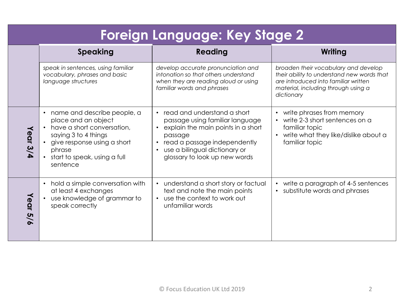| <b>Foreign Language: Key Stage 2</b> |                                                                                                                                                                                                            |                                                                                                                                                                                                                                             |                                                                                                                                                                                 |  |  |  |
|--------------------------------------|------------------------------------------------------------------------------------------------------------------------------------------------------------------------------------------------------------|---------------------------------------------------------------------------------------------------------------------------------------------------------------------------------------------------------------------------------------------|---------------------------------------------------------------------------------------------------------------------------------------------------------------------------------|--|--|--|
|                                      | <b>Speaking</b>                                                                                                                                                                                            | <b>Reading</b>                                                                                                                                                                                                                              | <b>Writing</b>                                                                                                                                                                  |  |  |  |
|                                      | speak in sentences, using familiar<br>vocabulary, phrases and basic<br>language structures                                                                                                                 | develop accurate pronunciation and<br>intonation so that others understand<br>when they are reading aloud or using<br>familiar words and phrases                                                                                            | broaden their vocabulary and develop<br>their ability to understand new words that<br>are introduced into familiar written<br>material, including through using a<br>dictionary |  |  |  |
| Year 3/4                             | name and describe people, a<br>$\bullet$<br>place and an object<br>have a short conversation,<br>saying 3 to 4 things<br>give response using a short<br>phrase<br>start to speak, using a full<br>sentence | read and understand a short<br>$\bullet$<br>passage using familiar language<br>explain the main points in a short<br>passage<br>read a passage independently<br>$\bullet$<br>use a bilingual dictionary or<br>glossary to look up new words | write phrases from memory<br>$\bullet$<br>write 2-3 short sentences on a<br>familiar topic<br>write what they like/dislike about a<br>$\bullet$<br>familiar topic               |  |  |  |
| Year<br>5/6                          | hold a simple conversation with<br>$\bullet$<br>at least 4 exchanges<br>use knowledge of grammar to<br>$\bullet$<br>speak correctly                                                                        | understand a short story or factual<br>$\bullet$<br>text and note the main points<br>use the context to work out<br>$\bullet$<br>unfamiliar words                                                                                           | write a paragraph of 4-5 sentences<br>$\bullet$<br>substitute words and phrases<br>$\bullet$                                                                                    |  |  |  |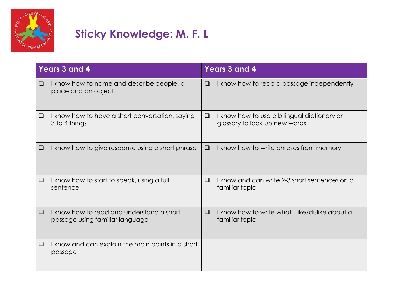

## **Sticky Knowledge: M. F. L**

| <b>Years 3 and 4</b> |                                                                              | <b>Years 3 and 4</b> |                                                                              |  |
|----------------------|------------------------------------------------------------------------------|----------------------|------------------------------------------------------------------------------|--|
| ⊔                    | I know how to name and describe people, a<br>place and an object             | ❏                    | I know how to read a passage independently                                   |  |
| ⊔                    | I know how to have a short conversation, saying<br>3 to 4 things             | ❏                    | I know how to use a bilingual dictionary or<br>glossary to look up new words |  |
| ❏                    | I know how to give response using a short phrase                             | ❏                    | I know how to write phrases from memory                                      |  |
| □                    | I know how to start to speak, using a full<br>sentence                       | $\Box$               | I know and can write 2-3 short sentences on a<br>familiar topic              |  |
| $\Box$               | I know how to read and understand a short<br>passage using familiar language | $\Box$               | I know how to write what I like/dislike about a<br>familiar topic            |  |
| ⊔                    | I know and can explain the main points in a short<br>passage                 |                      |                                                                              |  |